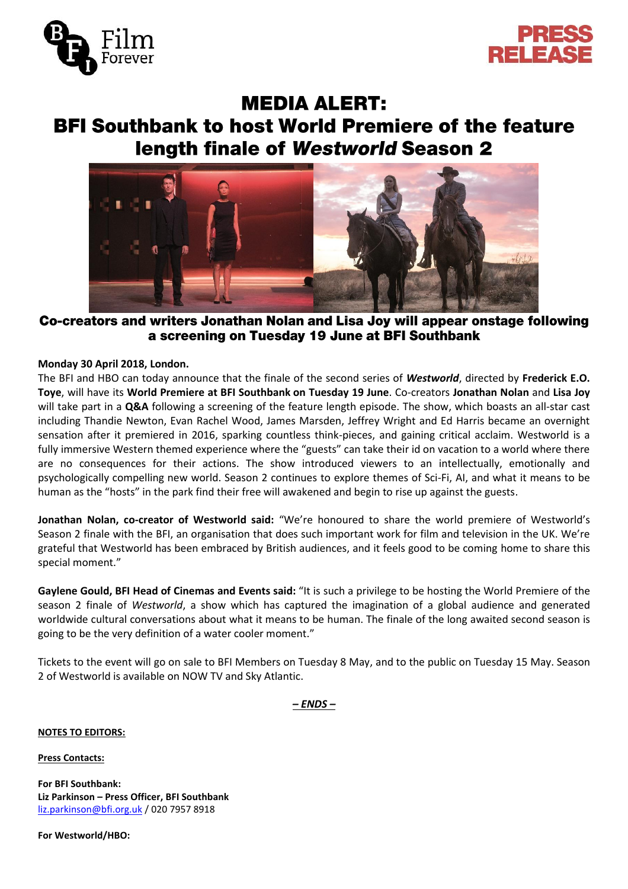



# **MEDIA ALERT:**

# **BFI Southbank to host World Premiere of the feature** length finale of Westworld Season 2



# Co-creators and writers Jonathan Nolan and Lisa Joy will appear onstage following a screening on Tuesday 19 June at BFI Southbank

# **Monday 30 April 2018, London.**

The BFI and HBO can today announce that the finale of the second series of *Westworld*, directed by **Frederick E.O. Toye**, will have its **World Premiere at BFI Southbank on Tuesday 19 June**. Co-creators **Jonathan Nolan** and **Lisa Joy** will take part in a **Q&A** following a screening of the feature length episode. The show, which boasts an all-star cast including Thandie Newton, Evan Rachel Wood, James Marsden, Jeffrey Wright and Ed Harris became an overnight sensation after it premiered in 2016, sparking countless think-pieces, and gaining critical acclaim. Westworld is a fully immersive Western themed experience where the "guests" can take their id on vacation to a world where there are no consequences for their actions. The show introduced viewers to an intellectually, emotionally and psychologically compelling new world. Season 2 continues to explore themes of Sci-Fi, AI, and what it means to be human as the "hosts" in the park find their free will awakened and begin to rise up against the guests.

**Jonathan Nolan, co-creator of Westworld said:** "We're honoured to share the world premiere of Westworld's Season 2 finale with the BFI, an organisation that does such important work for film and television in the UK. We're grateful that Westworld has been embraced by British audiences, and it feels good to be coming home to share this special moment."

**Gaylene Gould, BFI Head of Cinemas and Events said:** "It is such a privilege to be hosting the World Premiere of the season 2 finale of *Westworld*, a show which has captured the imagination of a global audience and generated worldwide cultural conversations about what it means to be human. The finale of the long awaited second season is going to be the very definition of a water cooler moment."

Tickets to the event will go on sale to BFI Members on Tuesday 8 May, and to the public on Tuesday 15 May. Season 2 of Westworld is available on NOW TV and Sky Atlantic.

# *– ENDS –*

# **NOTES TO EDITORS:**

**Press Contacts:**

**For BFI Southbank: Liz Parkinson – Press Officer, BFI Southbank** [liz.parkinson@bfi.org.uk](mailto:liz.parkinson@bfi.org.uk) / 020 7957 8918

**For Westworld/HBO:**